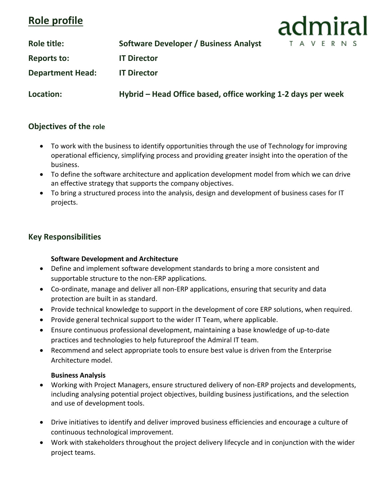# **Role profile**

**Role title: Software Developer / Business Analyst**

**Reports to: IT Director**

**Department Head: IT Director**

**Location: Hybrid – Head Office based, office working 1-2 days per week**

admiral

TAVERNS

# **Objectives of the role**

- To work with the business to identify opportunities through the use of Technology for improving operational efficiency, simplifying process and providing greater insight into the operation of the business.
- To define the software architecture and application development model from which we can drive an effective strategy that supports the company objectives.
- To bring a structured process into the analysis, design and development of business cases for IT projects.

# **Key Responsibilities**

# **Software Development and Architecture**

- Define and implement software development standards to bring a more consistent and supportable structure to the non-ERP applications.
- Co-ordinate, manage and deliver all non-ERP applications, ensuring that security and data protection are built in as standard.
- Provide technical knowledge to support in the development of core ERP solutions, when required.
- Provide general technical support to the wider IT Team, where applicable.
- Ensure continuous professional development, maintaining a base knowledge of up-to-date practices and technologies to help futureproof the Admiral IT team.
- Recommend and select appropriate tools to ensure best value is driven from the Enterprise Architecture model.

#### **Business Analysis**

- Working with Project Managers, ensure structured delivery of non-ERP projects and developments, including analysing potential project objectives, building business justifications, and the selection and use of development tools.
- Drive initiatives to identify and deliver improved business efficiencies and encourage a culture of continuous technological improvement.
- Work with stakeholders throughout the project delivery lifecycle and in conjunction with the wider project teams.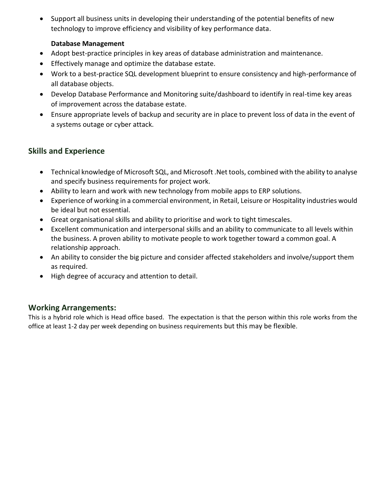• Support all business units in developing their understanding of the potential benefits of new technology to improve efficiency and visibility of key performance data.

### **Database Management**

- Adopt best-practice principles in key areas of database administration and maintenance.
- Effectively manage and optimize the database estate.
- Work to a best-practice SQL development blueprint to ensure consistency and high-performance of all database objects.
- Develop Database Performance and Monitoring suite/dashboard to identify in real-time key areas of improvement across the database estate.
- Ensure appropriate levels of backup and security are in place to prevent loss of data in the event of a systems outage or cyber attack.

# **Skills and Experience**

- Technical knowledge of Microsoft SQL, and Microsoft .Net tools, combined with the ability to analyse and specify business requirements for project work.
- Ability to learn and work with new technology from mobile apps to ERP solutions.
- Experience of working in a commercial environment, in Retail, Leisure or Hospitality industries would be ideal but not essential.
- Great organisational skills and ability to prioritise and work to tight timescales.
- Excellent communication and interpersonal skills and an ability to communicate to all levels within the business. A proven ability to motivate people to work together toward a common goal. A relationship approach.
- An ability to consider the big picture and consider affected stakeholders and involve/support them as required.
- High degree of accuracy and attention to detail.

# **Working Arrangements:**

This is a hybrid role which is Head office based. The expectation is that the person within this role works from the office at least 1-2 day per week depending on business requirements but this may be flexible.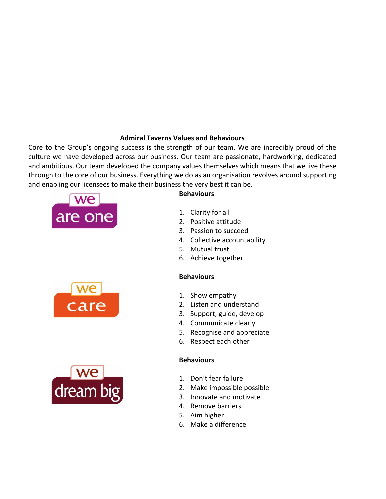#### **Admiral Taverns Values and Behaviours**

Core to the Group's ongoing success is the strength of our team. We are incredibly proud of the culture we have developed across our business. Our team are passionate, hardworking, dedicated and ambitious. Our team developed the company values themselves which means that we live these through to the core of our business. Everything we do as an organisation revolves around supporting and enabling our licensees to make their business the very best it can be.



- 2. Positive attitude 3. Passion to succeed
- 4. Collective accountability
- 5. Mutual trust

1. Clarity for all

6. Achieve together

#### **Behaviours**

**Behaviours**

- 1. Show empathy
- 2. Listen and understand
- 3. Support, guide, develop
- 4. Communicate clearly
- 5. Recognise and appreciate
- 6. Respect each other

#### **Behaviours**

- 1. Don't fear failure
- 2. Make impossible possible
- 3. Innovate and motivate
- 4. Remove barriers
- 5. Aim higher
- 6. Make a difference